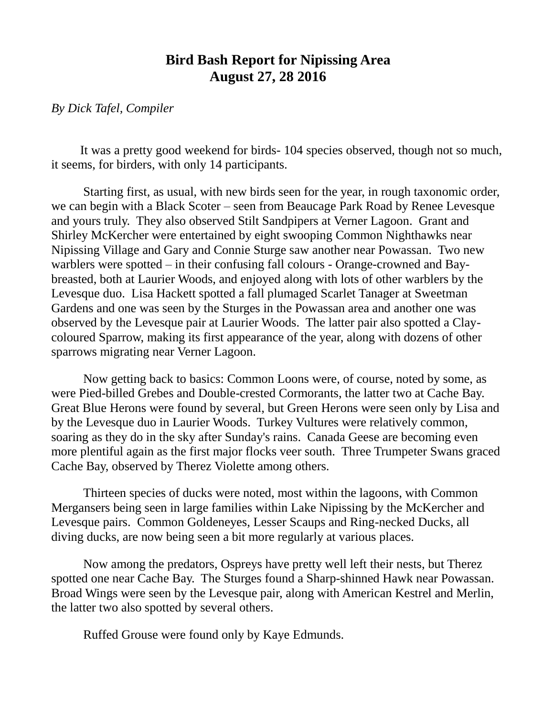## **Bird Bash Report for Nipissing Area August 27, 28 2016**

## *By Dick Tafel, Compiler*

It was a pretty good weekend for birds- 104 species observed, though not so much, it seems, for birders, with only 14 participants.

Starting first, as usual, with new birds seen for the year, in rough taxonomic order, we can begin with a Black Scoter – seen from Beaucage Park Road by Renee Levesque and yours truly. They also observed Stilt Sandpipers at Verner Lagoon. Grant and Shirley McKercher were entertained by eight swooping Common Nighthawks near Nipissing Village and Gary and Connie Sturge saw another near Powassan. Two new warblers were spotted – in their confusing fall colours - Orange-crowned and Baybreasted, both at Laurier Woods, and enjoyed along with lots of other warblers by the Levesque duo. Lisa Hackett spotted a fall plumaged Scarlet Tanager at Sweetman Gardens and one was seen by the Sturges in the Powassan area and another one was observed by the Levesque pair at Laurier Woods. The latter pair also spotted a Claycoloured Sparrow, making its first appearance of the year, along with dozens of other sparrows migrating near Verner Lagoon.

Now getting back to basics: Common Loons were, of course, noted by some, as were Pied-billed Grebes and Double-crested Cormorants, the latter two at Cache Bay. Great Blue Herons were found by several, but Green Herons were seen only by Lisa and by the Levesque duo in Laurier Woods. Turkey Vultures were relatively common, soaring as they do in the sky after Sunday's rains. Canada Geese are becoming even more plentiful again as the first major flocks veer south. Three Trumpeter Swans graced Cache Bay, observed by Therez Violette among others.

Thirteen species of ducks were noted, most within the lagoons, with Common Mergansers being seen in large families within Lake Nipissing by the McKercher and Levesque pairs. Common Goldeneyes, Lesser Scaups and Ring-necked Ducks, all diving ducks, are now being seen a bit more regularly at various places.

Now among the predators, Ospreys have pretty well left their nests, but Therez spotted one near Cache Bay. The Sturges found a Sharp-shinned Hawk near Powassan. Broad Wings were seen by the Levesque pair, along with American Kestrel and Merlin, the latter two also spotted by several others.

Ruffed Grouse were found only by Kaye Edmunds.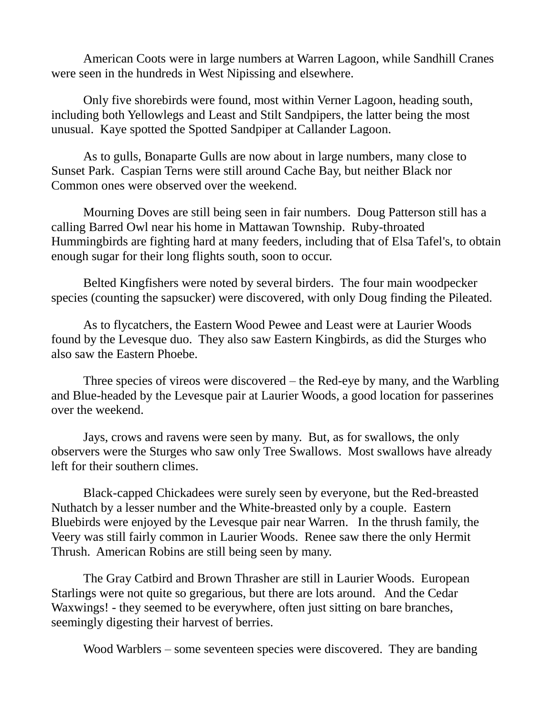American Coots were in large numbers at Warren Lagoon, while Sandhill Cranes were seen in the hundreds in West Nipissing and elsewhere.

Only five shorebirds were found, most within Verner Lagoon, heading south, including both Yellowlegs and Least and Stilt Sandpipers, the latter being the most unusual. Kaye spotted the Spotted Sandpiper at Callander Lagoon.

As to gulls, Bonaparte Gulls are now about in large numbers, many close to Sunset Park. Caspian Terns were still around Cache Bay, but neither Black nor Common ones were observed over the weekend.

Mourning Doves are still being seen in fair numbers. Doug Patterson still has a calling Barred Owl near his home in Mattawan Township. Ruby-throated Hummingbirds are fighting hard at many feeders, including that of Elsa Tafel's, to obtain enough sugar for their long flights south, soon to occur.

Belted Kingfishers were noted by several birders. The four main woodpecker species (counting the sapsucker) were discovered, with only Doug finding the Pileated.

As to flycatchers, the Eastern Wood Pewee and Least were at Laurier Woods found by the Levesque duo. They also saw Eastern Kingbirds, as did the Sturges who also saw the Eastern Phoebe.

Three species of vireos were discovered – the Red-eye by many, and the Warbling and Blue-headed by the Levesque pair at Laurier Woods, a good location for passerines over the weekend.

Jays, crows and ravens were seen by many. But, as for swallows, the only observers were the Sturges who saw only Tree Swallows. Most swallows have already left for their southern climes.

Black-capped Chickadees were surely seen by everyone, but the Red-breasted Nuthatch by a lesser number and the White-breasted only by a couple. Eastern Bluebirds were enjoyed by the Levesque pair near Warren. In the thrush family, the Veery was still fairly common in Laurier Woods. Renee saw there the only Hermit Thrush. American Robins are still being seen by many.

The Gray Catbird and Brown Thrasher are still in Laurier Woods. European Starlings were not quite so gregarious, but there are lots around. And the Cedar Waxwings! - they seemed to be everywhere, often just sitting on bare branches, seemingly digesting their harvest of berries.

Wood Warblers – some seventeen species were discovered. They are banding